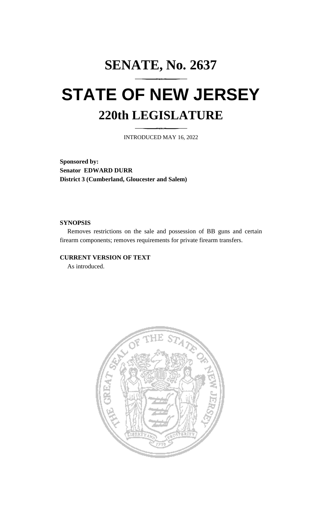# **SENATE, No. 2637 STATE OF NEW JERSEY 220th LEGISLATURE**

INTRODUCED MAY 16, 2022

**Sponsored by: Senator EDWARD DURR District 3 (Cumberland, Gloucester and Salem)**

#### **SYNOPSIS**

Removes restrictions on the sale and possession of BB guns and certain firearm components; removes requirements for private firearm transfers.

### **CURRENT VERSION OF TEXT**

As introduced.

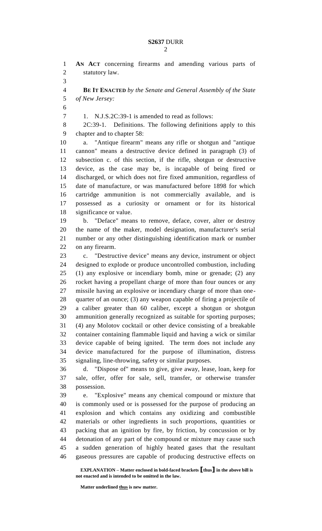**AN ACT** concerning firearms and amending various parts of statutory law. **BE IT ENACTED** *by the Senate and General Assembly of the State of New Jersey:* 1. N.J.S.2C:39-1 is amended to read as follows: 2C:39-1. Definitions. The following definitions apply to this chapter and to chapter 58: a. "Antique firearm" means any rifle or shotgun and "antique cannon" means a destructive device defined in paragraph (3) of subsection c. of this section, if the rifle, shotgun or destructive device, as the case may be, is incapable of being fired or discharged, or which does not fire fixed ammunition, regardless of date of manufacture, or was manufactured before 1898 for which cartridge ammunition is not commercially available, and is possessed as a curiosity or ornament or for its historical significance or value. b. "Deface" means to remove, deface, cover, alter or destroy the name of the maker, model designation, manufacturer's serial number or any other distinguishing identification mark or number on any firearm. c. "Destructive device" means any device, instrument or object designed to explode or produce uncontrolled combustion, including (1) any explosive or incendiary bomb, mine or grenade; (2) any rocket having a propellant charge of more than four ounces or any missile having an explosive or incendiary charge of more than one- quarter of an ounce; (3) any weapon capable of firing a projectile of a caliber greater than 60 caliber, except a shotgun or shotgun ammunition generally recognized as suitable for sporting purposes; (4) any Molotov cocktail or other device consisting of a breakable container containing flammable liquid and having a wick or similar device capable of being ignited. The term does not include any device manufactured for the purpose of illumination, distress signaling, line-throwing, safety or similar purposes. d. "Dispose of" means to give, give away, lease, loan, keep for sale, offer, offer for sale, sell, transfer, or otherwise transfer possession. e. "Explosive" means any chemical compound or mixture that is commonly used or is possessed for the purpose of producing an explosion and which contains any oxidizing and combustible materials or other ingredients in such proportions, quantities or packing that an ignition by fire, by friction, by concussion or by detonation of any part of the compound or mixture may cause such a sudden generation of highly heated gases that the resultant gaseous pressures are capable of producing destructive effects on

**EXPLANATION – Matter enclosed in bold-faced brackets [thus] in the above bill is not enacted and is intended to be omitted in the law.**

**Matter underlined thus is new matter.**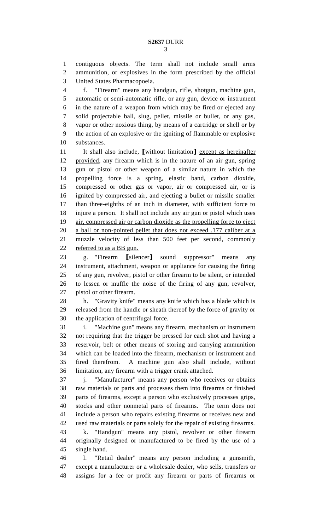contiguous objects. The term shall not include small arms ammunition, or explosives in the form prescribed by the official United States Pharmacopoeia.

 f. "Firearm" means any handgun, rifle, shotgun, machine gun, automatic or semi-automatic rifle, or any gun, device or instrument in the nature of a weapon from which may be fired or ejected any solid projectable ball, slug, pellet, missile or bullet, or any gas, vapor or other noxious thing, by means of a cartridge or shell or by the action of an explosive or the igniting of flammable or explosive substances.

 It shall also include, **[**without limitation**]** except as hereinafter provided, any firearm which is in the nature of an air gun, spring gun or pistol or other weapon of a similar nature in which the propelling force is a spring, elastic band, carbon dioxide, compressed or other gas or vapor, air or compressed air, or is ignited by compressed air, and ejecting a bullet or missile smaller than three-eighths of an inch in diameter, with sufficient force to injure a person. It shall not include any air gun or pistol which uses 19 air, compressed air or carbon dioxide as the propelling force to eject a ball or non-pointed pellet that does not exceed .177 caliber at a muzzle velocity of less than 500 feet per second, commonly 22 referred to as a BB gun.

 g. "Firearm **[**silencer**]** sound suppressor" means any instrument, attachment, weapon or appliance for causing the firing of any gun, revolver, pistol or other firearm to be silent, or intended to lessen or muffle the noise of the firing of any gun, revolver, pistol or other firearm.

 h. "Gravity knife" means any knife which has a blade which is released from the handle or sheath thereof by the force of gravity or the application of centrifugal force.

 i. "Machine gun" means any firearm, mechanism or instrument not requiring that the trigger be pressed for each shot and having a reservoir, belt or other means of storing and carrying ammunition which can be loaded into the firearm, mechanism or instrument and fired therefrom. A machine gun also shall include, without limitation, any firearm with a trigger crank attached.

 j. "Manufacturer" means any person who receives or obtains raw materials or parts and processes them into firearms or finished parts of firearms, except a person who exclusively processes grips, stocks and other nonmetal parts of firearms. The term does not include a person who repairs existing firearms or receives new and used raw materials or parts solely for the repair of existing firearms. k. "Handgun" means any pistol, revolver or other firearm

 originally designed or manufactured to be fired by the use of a single hand.

 l. "Retail dealer" means any person including a gunsmith, except a manufacturer or a wholesale dealer, who sells, transfers or assigns for a fee or profit any firearm or parts of firearms or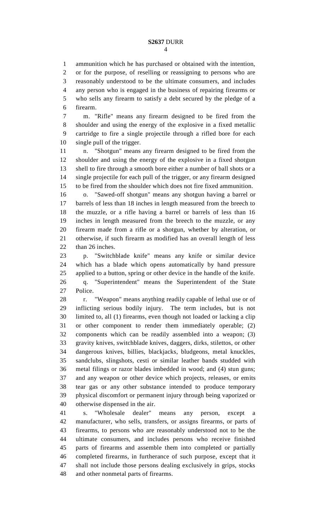#### **S2637** DURR  $\Delta$

 ammunition which he has purchased or obtained with the intention, or for the purpose, of reselling or reassigning to persons who are reasonably understood to be the ultimate consumers, and includes any person who is engaged in the business of repairing firearms or who sells any firearm to satisfy a debt secured by the pledge of a firearm.

 m. "Rifle" means any firearm designed to be fired from the shoulder and using the energy of the explosive in a fixed metallic cartridge to fire a single projectile through a rifled bore for each single pull of the trigger.

 n. "Shotgun" means any firearm designed to be fired from the shoulder and using the energy of the explosive in a fixed shotgun shell to fire through a smooth bore either a number of ball shots or a single projectile for each pull of the trigger, or any firearm designed to be fired from the shoulder which does not fire fixed ammunition.

 o. "Sawed-off shotgun" means any shotgun having a barrel or barrels of less than 18 inches in length measured from the breech to the muzzle, or a rifle having a barrel or barrels of less than 16 inches in length measured from the breech to the muzzle, or any firearm made from a rifle or a shotgun, whether by alteration, or otherwise, if such firearm as modified has an overall length of less 22 than 26 inches.

 p. "Switchblade knife" means any knife or similar device which has a blade which opens automatically by hand pressure applied to a button, spring or other device in the handle of the knife. q. "Superintendent" means the Superintendent of the State Police.

 r. "Weapon" means anything readily capable of lethal use or of inflicting serious bodily injury. The term includes, but is not limited to, all (1) firearms, even though not loaded or lacking a clip or other component to render them immediately operable; (2) components which can be readily assembled into a weapon; (3) gravity knives, switchblade knives, daggers, dirks, stilettos, or other dangerous knives, billies, blackjacks, bludgeons, metal knuckles, sandclubs, slingshots, cesti or similar leather bands studded with metal filings or razor blades imbedded in wood; and (4) stun guns; and any weapon or other device which projects, releases, or emits tear gas or any other substance intended to produce temporary physical discomfort or permanent injury through being vaporized or otherwise dispensed in the air.

 s. "Wholesale dealer" means any person, except a manufacturer, who sells, transfers, or assigns firearms, or parts of firearms, to persons who are reasonably understood not to be the ultimate consumers, and includes persons who receive finished parts of firearms and assemble them into completed or partially completed firearms, in furtherance of such purpose, except that it shall not include those persons dealing exclusively in grips, stocks and other nonmetal parts of firearms.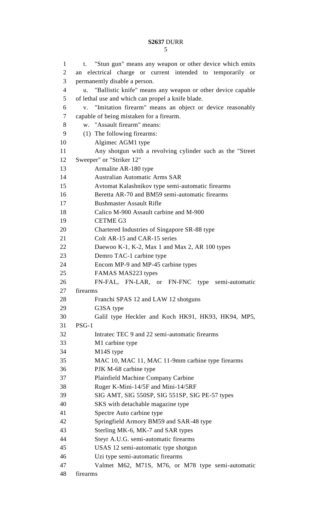| an electrical charge or current intended to temporarily or<br>2<br>3<br>permanently disable a person.<br>$\overline{4}$<br>u.<br>5<br>of lethal use and which can propel a knife blade.<br>6<br>capable of being mistaken for a firearm.<br>$\tau$<br>w. "Assault firearm" means:<br>8<br>(1) The following firearms:<br>9<br>10<br>Algimec AGM1 type<br>11<br>Sweeper" or "Striker 12"<br>12<br>13<br>Armalite AR-180 type<br><b>Australian Automatic Arms SAR</b><br>14<br>Avtomat Kalashnikov type semi-automatic firearms<br>15<br>Beretta AR-70 and BM59 semi-automatic firearms<br>16<br>17<br><b>Bushmaster Assault Rifle</b><br>18<br>Calico M-900 Assault carbine and M-900<br>19<br><b>CETME G3</b><br>20<br>Chartered Industries of Singapore SR-88 type<br>21<br>Colt AR-15 and CAR-15 series<br>22<br>Daewoo K-1, K-2, Max 1 and Max 2, AR 100 types<br>23<br>Demro TAC-1 carbine type<br>24<br>Encom MP-9 and MP-45 carbine types<br>25<br>FAMAS MAS223 types<br>26<br>FN-FAL, FN-LAR, or FN-FNC type<br>27<br>firearms<br>28<br>Franchi SPAS 12 and LAW 12 shotguns<br>29<br>G3SA type<br>30<br>Galil type Heckler and Koch HK91, HK93, HK94, MP5,<br>31<br>$PSG-1$<br>32<br>Intratec TEC 9 and 22 semi-automatic firearms<br>33<br>M1 carbine type<br>34<br>M14S type<br>35<br>MAC 10, MAC 11, MAC 11-9mm carbine type firearms<br>PJK M-68 carbine type<br>36<br>37<br>Plainfield Machine Company Carbine | $\mathbf{1}$ | t. "Stun gun" means any weapon or other device which emits  |
|----------------------------------------------------------------------------------------------------------------------------------------------------------------------------------------------------------------------------------------------------------------------------------------------------------------------------------------------------------------------------------------------------------------------------------------------------------------------------------------------------------------------------------------------------------------------------------------------------------------------------------------------------------------------------------------------------------------------------------------------------------------------------------------------------------------------------------------------------------------------------------------------------------------------------------------------------------------------------------------------------------------------------------------------------------------------------------------------------------------------------------------------------------------------------------------------------------------------------------------------------------------------------------------------------------------------------------------------------------------------------------------------------------------------------|--------------|-------------------------------------------------------------|
|                                                                                                                                                                                                                                                                                                                                                                                                                                                                                                                                                                                                                                                                                                                                                                                                                                                                                                                                                                                                                                                                                                                                                                                                                                                                                                                                                                                                                            |              |                                                             |
|                                                                                                                                                                                                                                                                                                                                                                                                                                                                                                                                                                                                                                                                                                                                                                                                                                                                                                                                                                                                                                                                                                                                                                                                                                                                                                                                                                                                                            |              |                                                             |
|                                                                                                                                                                                                                                                                                                                                                                                                                                                                                                                                                                                                                                                                                                                                                                                                                                                                                                                                                                                                                                                                                                                                                                                                                                                                                                                                                                                                                            |              | "Ballistic knife" means any weapon or other device capable  |
|                                                                                                                                                                                                                                                                                                                                                                                                                                                                                                                                                                                                                                                                                                                                                                                                                                                                                                                                                                                                                                                                                                                                                                                                                                                                                                                                                                                                                            |              |                                                             |
|                                                                                                                                                                                                                                                                                                                                                                                                                                                                                                                                                                                                                                                                                                                                                                                                                                                                                                                                                                                                                                                                                                                                                                                                                                                                                                                                                                                                                            |              | v. "Imitation firearm" means an object or device reasonably |
|                                                                                                                                                                                                                                                                                                                                                                                                                                                                                                                                                                                                                                                                                                                                                                                                                                                                                                                                                                                                                                                                                                                                                                                                                                                                                                                                                                                                                            |              |                                                             |
|                                                                                                                                                                                                                                                                                                                                                                                                                                                                                                                                                                                                                                                                                                                                                                                                                                                                                                                                                                                                                                                                                                                                                                                                                                                                                                                                                                                                                            |              |                                                             |
|                                                                                                                                                                                                                                                                                                                                                                                                                                                                                                                                                                                                                                                                                                                                                                                                                                                                                                                                                                                                                                                                                                                                                                                                                                                                                                                                                                                                                            |              |                                                             |
|                                                                                                                                                                                                                                                                                                                                                                                                                                                                                                                                                                                                                                                                                                                                                                                                                                                                                                                                                                                                                                                                                                                                                                                                                                                                                                                                                                                                                            |              |                                                             |
|                                                                                                                                                                                                                                                                                                                                                                                                                                                                                                                                                                                                                                                                                                                                                                                                                                                                                                                                                                                                                                                                                                                                                                                                                                                                                                                                                                                                                            |              | Any shotgun with a revolving cylinder such as the "Street"  |
|                                                                                                                                                                                                                                                                                                                                                                                                                                                                                                                                                                                                                                                                                                                                                                                                                                                                                                                                                                                                                                                                                                                                                                                                                                                                                                                                                                                                                            |              |                                                             |
|                                                                                                                                                                                                                                                                                                                                                                                                                                                                                                                                                                                                                                                                                                                                                                                                                                                                                                                                                                                                                                                                                                                                                                                                                                                                                                                                                                                                                            |              |                                                             |
|                                                                                                                                                                                                                                                                                                                                                                                                                                                                                                                                                                                                                                                                                                                                                                                                                                                                                                                                                                                                                                                                                                                                                                                                                                                                                                                                                                                                                            |              |                                                             |
|                                                                                                                                                                                                                                                                                                                                                                                                                                                                                                                                                                                                                                                                                                                                                                                                                                                                                                                                                                                                                                                                                                                                                                                                                                                                                                                                                                                                                            |              |                                                             |
|                                                                                                                                                                                                                                                                                                                                                                                                                                                                                                                                                                                                                                                                                                                                                                                                                                                                                                                                                                                                                                                                                                                                                                                                                                                                                                                                                                                                                            |              |                                                             |
|                                                                                                                                                                                                                                                                                                                                                                                                                                                                                                                                                                                                                                                                                                                                                                                                                                                                                                                                                                                                                                                                                                                                                                                                                                                                                                                                                                                                                            |              |                                                             |
|                                                                                                                                                                                                                                                                                                                                                                                                                                                                                                                                                                                                                                                                                                                                                                                                                                                                                                                                                                                                                                                                                                                                                                                                                                                                                                                                                                                                                            |              |                                                             |
|                                                                                                                                                                                                                                                                                                                                                                                                                                                                                                                                                                                                                                                                                                                                                                                                                                                                                                                                                                                                                                                                                                                                                                                                                                                                                                                                                                                                                            |              |                                                             |
|                                                                                                                                                                                                                                                                                                                                                                                                                                                                                                                                                                                                                                                                                                                                                                                                                                                                                                                                                                                                                                                                                                                                                                                                                                                                                                                                                                                                                            |              |                                                             |
|                                                                                                                                                                                                                                                                                                                                                                                                                                                                                                                                                                                                                                                                                                                                                                                                                                                                                                                                                                                                                                                                                                                                                                                                                                                                                                                                                                                                                            |              |                                                             |
|                                                                                                                                                                                                                                                                                                                                                                                                                                                                                                                                                                                                                                                                                                                                                                                                                                                                                                                                                                                                                                                                                                                                                                                                                                                                                                                                                                                                                            |              |                                                             |
|                                                                                                                                                                                                                                                                                                                                                                                                                                                                                                                                                                                                                                                                                                                                                                                                                                                                                                                                                                                                                                                                                                                                                                                                                                                                                                                                                                                                                            |              |                                                             |
|                                                                                                                                                                                                                                                                                                                                                                                                                                                                                                                                                                                                                                                                                                                                                                                                                                                                                                                                                                                                                                                                                                                                                                                                                                                                                                                                                                                                                            |              |                                                             |
|                                                                                                                                                                                                                                                                                                                                                                                                                                                                                                                                                                                                                                                                                                                                                                                                                                                                                                                                                                                                                                                                                                                                                                                                                                                                                                                                                                                                                            |              |                                                             |
|                                                                                                                                                                                                                                                                                                                                                                                                                                                                                                                                                                                                                                                                                                                                                                                                                                                                                                                                                                                                                                                                                                                                                                                                                                                                                                                                                                                                                            |              | semi-automatic                                              |
|                                                                                                                                                                                                                                                                                                                                                                                                                                                                                                                                                                                                                                                                                                                                                                                                                                                                                                                                                                                                                                                                                                                                                                                                                                                                                                                                                                                                                            |              |                                                             |
|                                                                                                                                                                                                                                                                                                                                                                                                                                                                                                                                                                                                                                                                                                                                                                                                                                                                                                                                                                                                                                                                                                                                                                                                                                                                                                                                                                                                                            |              |                                                             |
|                                                                                                                                                                                                                                                                                                                                                                                                                                                                                                                                                                                                                                                                                                                                                                                                                                                                                                                                                                                                                                                                                                                                                                                                                                                                                                                                                                                                                            |              |                                                             |
|                                                                                                                                                                                                                                                                                                                                                                                                                                                                                                                                                                                                                                                                                                                                                                                                                                                                                                                                                                                                                                                                                                                                                                                                                                                                                                                                                                                                                            |              |                                                             |
|                                                                                                                                                                                                                                                                                                                                                                                                                                                                                                                                                                                                                                                                                                                                                                                                                                                                                                                                                                                                                                                                                                                                                                                                                                                                                                                                                                                                                            |              |                                                             |
|                                                                                                                                                                                                                                                                                                                                                                                                                                                                                                                                                                                                                                                                                                                                                                                                                                                                                                                                                                                                                                                                                                                                                                                                                                                                                                                                                                                                                            |              |                                                             |
|                                                                                                                                                                                                                                                                                                                                                                                                                                                                                                                                                                                                                                                                                                                                                                                                                                                                                                                                                                                                                                                                                                                                                                                                                                                                                                                                                                                                                            |              |                                                             |
|                                                                                                                                                                                                                                                                                                                                                                                                                                                                                                                                                                                                                                                                                                                                                                                                                                                                                                                                                                                                                                                                                                                                                                                                                                                                                                                                                                                                                            |              |                                                             |
|                                                                                                                                                                                                                                                                                                                                                                                                                                                                                                                                                                                                                                                                                                                                                                                                                                                                                                                                                                                                                                                                                                                                                                                                                                                                                                                                                                                                                            |              |                                                             |
|                                                                                                                                                                                                                                                                                                                                                                                                                                                                                                                                                                                                                                                                                                                                                                                                                                                                                                                                                                                                                                                                                                                                                                                                                                                                                                                                                                                                                            |              |                                                             |
|                                                                                                                                                                                                                                                                                                                                                                                                                                                                                                                                                                                                                                                                                                                                                                                                                                                                                                                                                                                                                                                                                                                                                                                                                                                                                                                                                                                                                            |              |                                                             |
|                                                                                                                                                                                                                                                                                                                                                                                                                                                                                                                                                                                                                                                                                                                                                                                                                                                                                                                                                                                                                                                                                                                                                                                                                                                                                                                                                                                                                            | 38           | Ruger K-Mini-14/5F and Mini-14/5RF                          |
| 39<br>SIG AMT, SIG 550SP, SIG 551SP, SIG PE-57 types<br>40                                                                                                                                                                                                                                                                                                                                                                                                                                                                                                                                                                                                                                                                                                                                                                                                                                                                                                                                                                                                                                                                                                                                                                                                                                                                                                                                                                 |              |                                                             |
| SKS with detachable magazine type<br>41                                                                                                                                                                                                                                                                                                                                                                                                                                                                                                                                                                                                                                                                                                                                                                                                                                                                                                                                                                                                                                                                                                                                                                                                                                                                                                                                                                                    |              |                                                             |
| Spectre Auto carbine type                                                                                                                                                                                                                                                                                                                                                                                                                                                                                                                                                                                                                                                                                                                                                                                                                                                                                                                                                                                                                                                                                                                                                                                                                                                                                                                                                                                                  |              |                                                             |
| 42<br>Springfield Armory BM59 and SAR-48 type<br>43                                                                                                                                                                                                                                                                                                                                                                                                                                                                                                                                                                                                                                                                                                                                                                                                                                                                                                                                                                                                                                                                                                                                                                                                                                                                                                                                                                        |              |                                                             |
| Sterling MK-6, MK-7 and SAR types<br>44                                                                                                                                                                                                                                                                                                                                                                                                                                                                                                                                                                                                                                                                                                                                                                                                                                                                                                                                                                                                                                                                                                                                                                                                                                                                                                                                                                                    |              |                                                             |
| Steyr A.U.G. semi-automatic firearms<br>45                                                                                                                                                                                                                                                                                                                                                                                                                                                                                                                                                                                                                                                                                                                                                                                                                                                                                                                                                                                                                                                                                                                                                                                                                                                                                                                                                                                 |              |                                                             |
| USAS 12 semi-automatic type shotgun<br>Uzi type semi-automatic firearms<br>46                                                                                                                                                                                                                                                                                                                                                                                                                                                                                                                                                                                                                                                                                                                                                                                                                                                                                                                                                                                                                                                                                                                                                                                                                                                                                                                                              |              |                                                             |
| 47                                                                                                                                                                                                                                                                                                                                                                                                                                                                                                                                                                                                                                                                                                                                                                                                                                                                                                                                                                                                                                                                                                                                                                                                                                                                                                                                                                                                                         |              | Valmet M62, M71S, M76, or M78 type semi-automatic           |
| 48<br>firearms                                                                                                                                                                                                                                                                                                                                                                                                                                                                                                                                                                                                                                                                                                                                                                                                                                                                                                                                                                                                                                                                                                                                                                                                                                                                                                                                                                                                             |              |                                                             |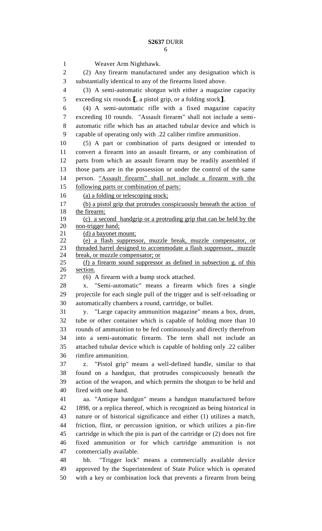Weaver Arm Nighthawk. (2) Any firearm manufactured under any designation which is substantially identical to any of the firearms listed above. (3) A semi-automatic shotgun with either a magazine capacity exceeding six rounds **[**, a pistol grip, or a folding stock**]**. (4) A semi-automatic rifle with a fixed magazine capacity exceeding 10 rounds. "Assault firearm" shall not include a semi- automatic rifle which has an attached tubular device and which is capable of operating only with .22 caliber rimfire ammunition. (5) A part or combination of parts designed or intended to convert a firearm into an assault firearm, or any combination of parts from which an assault firearm may be readily assembled if those parts are in the possession or under the control of the same person. "Assault firearm" shall not include a firearm with the following parts or combination of parts: (a) a folding or telescoping stock; (b) a pistol grip that protrudes conspicuously beneath the action of 18 the firearm; (c) a second handgrip or a protruding grip that can be held by the 20 non-trigger hand; 21 (d) a bayonet mount; (e) a flash suppressor, muzzle break, muzzle compensator, or 23 threaded barrel designed to accommodate a flash suppressor, muzzle break, or muzzle compensator; or (f) a firearm sound suppressor as defined in subsection g. of this section. (6) A firearm with a bump stock attached. x. "Semi-automatic" means a firearm which fires a single projectile for each single pull of the trigger and is self-reloading or automatically chambers a round, cartridge, or bullet. y. "Large capacity ammunition magazine" means a box, drum, tube or other container which is capable of holding more than 10 rounds of ammunition to be fed continuously and directly therefrom into a semi-automatic firearm. The term shall not include an attached tubular device which is capable of holding only .22 caliber rimfire ammunition. z. "Pistol grip" means a well-defined handle, similar to that found on a handgun, that protrudes conspicuously beneath the action of the weapon, and which permits the shotgun to be held and fired with one hand. aa. "Antique handgun" means a handgun manufactured before 1898, or a replica thereof, which is recognized as being historical in nature or of historical significance and either (1) utilizes a match, friction, flint, or percussion ignition, or which utilizes a pin-fire cartridge in which the pin is part of the cartridge or (2) does not fire fixed ammunition or for which cartridge ammunition is not commercially available. bb. "Trigger lock" means a commercially available device approved by the Superintendent of State Police which is operated with a key or combination lock that prevents a firearm from being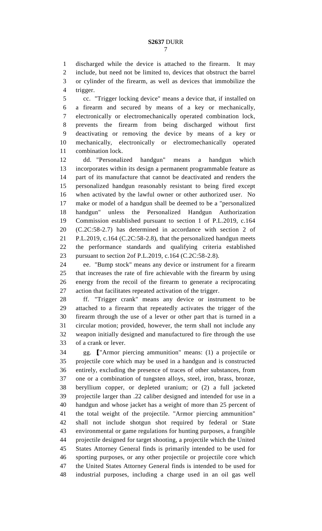discharged while the device is attached to the firearm. It may include, but need not be limited to, devices that obstruct the barrel or cylinder of the firearm, as well as devices that immobilize the trigger.

 cc. "Trigger locking device" means a device that, if installed on a firearm and secured by means of a key or mechanically, electronically or electromechanically operated combination lock, prevents the firearm from being discharged without first deactivating or removing the device by means of a key or mechanically, electronically or electromechanically operated combination lock.

 dd. "Personalized handgun" means a handgun which incorporates within its design a permanent programmable feature as part of its manufacture that cannot be deactivated and renders the personalized handgun reasonably resistant to being fired except when activated by the lawful owner or other authorized user. No make or model of a handgun shall be deemed to be a "personalized handgun" unless the Personalized Handgun Authorization Commission established pursuant to section 1 of P.L.2019, c.164 (C.2C:58-2.7) has determined in accordance with section 2 of P.L.2019, c.164 (C.2C:58-2.8), that the personalized handgun meets the performance standards and qualifying criteria established pursuant to section 2of P.L.2019, c.164 (C.2C:58-2.8).

 ee. "Bump stock" means any device or instrument for a firearm that increases the rate of fire achievable with the firearm by using energy from the recoil of the firearm to generate a reciprocating action that facilitates repeated activation of the trigger.

 ff. "Trigger crank" means any device or instrument to be attached to a firearm that repeatedly activates the trigger of the firearm through the use of a lever or other part that is turned in a circular motion; provided, however, the term shall not include any weapon initially designed and manufactured to fire through the use of a crank or lever.

 gg. **[**"Armor piercing ammunition" means: (1) a projectile or projectile core which may be used in a handgun and is constructed entirely, excluding the presence of traces of other substances, from one or a combination of tungsten alloys, steel, iron, brass, bronze, beryllium copper, or depleted uranium; or (2) a full jacketed projectile larger than .22 caliber designed and intended for use in a handgun and whose jacket has a weight of more than 25 percent of the total weight of the projectile. "Armor piercing ammunition" shall not include shotgun shot required by federal or State environmental or game regulations for hunting purposes, a frangible projectile designed for target shooting, a projectile which the United States Attorney General finds is primarily intended to be used for sporting purposes, or any other projectile or projectile core which the United States Attorney General finds is intended to be used for industrial purposes, including a charge used in an oil gas well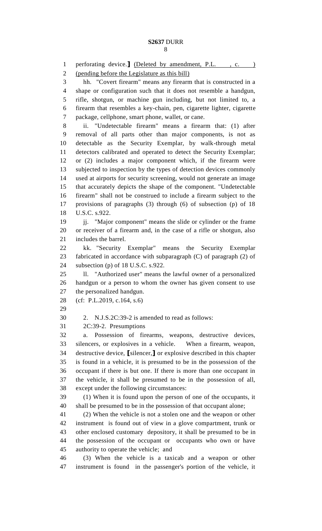1 perforating device.**]** (Deleted by amendment, P.L., c.) (pending before the Legislature as this bill) hh. "Covert firearm" means any firearm that is constructed in a shape or configuration such that it does not resemble a handgun, rifle, shotgun, or machine gun including, but not limited to, a firearm that resembles a key-chain, pen, cigarette lighter, cigarette package, cellphone, smart phone, wallet, or cane. ii. "Undetectable firearm" means a firearm that: (1) after removal of all parts other than major components, is not as detectable as the Security Exemplar, by walk-through metal detectors calibrated and operated to detect the Security Exemplar; or (2) includes a major component which, if the firearm were subjected to inspection by the types of detection devices commonly used at airports for security screening, would not generate an image that accurately depicts the shape of the component. "Undetectable firearm" shall not be construed to include a firearm subject to the provisions of paragraphs (3) through (6) of subsection (p) of 18 U.S.C. s.922. jj. "Major component" means the slide or cylinder or the frame or receiver of a firearm and, in the case of a rifle or shotgun, also includes the barrel. kk. "Security Exemplar" means the Security Exemplar fabricated in accordance with subparagraph (C) of paragraph (2) of subsection (p) of 18 U.S.C. s.922. ll. "Authorized user" means the lawful owner of a personalized handgun or a person to whom the owner has given consent to use the personalized handgun. (cf: P.L.2019, c.164, s.6) 2. N.J.S.2C:39-2 is amended to read as follows: 2C:39-2. Presumptions a. Possession of firearms, weapons, destructive devices, silencers, or explosives in a vehicle. When a firearm, weapon, destructive device, **[**silencer,**]** or explosive described in this chapter is found in a vehicle, it is presumed to be in the possession of the occupant if there is but one. If there is more than one occupant in the vehicle, it shall be presumed to be in the possession of all, except under the following circumstances: (1) When it is found upon the person of one of the occupants, it shall be presumed to be in the possession of that occupant alone; (2) When the vehicle is not a stolen one and the weapon or other instrument is found out of view in a glove compartment, trunk or other enclosed customary depository, it shall be presumed to be in the possession of the occupant or occupants who own or have authority to operate the vehicle; and (3) When the vehicle is a taxicab and a weapon or other

instrument is found in the passenger's portion of the vehicle, it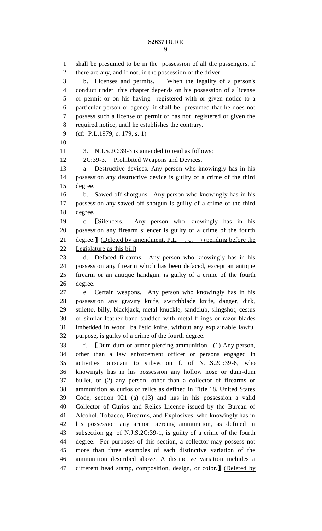shall be presumed to be in the possession of all the passengers, if there are any, and if not, in the possession of the driver. b. Licenses and permits. When the legality of a person's conduct under this chapter depends on his possession of a license or permit or on his having registered with or given notice to a particular person or agency, it shall be presumed that he does not possess such a license or permit or has not registered or given the required notice, until he establishes the contrary. (cf: P.L.1979, c. 179, s. 1) 3. N.J.S.2C:39-3 is amended to read as follows: 2C:39-3. Prohibited Weapons and Devices. a. Destructive devices. Any person who knowingly has in his possession any destructive device is guilty of a crime of the third degree. b. Sawed-off shotguns. Any person who knowingly has in his possession any sawed-off shotgun is guilty of a crime of the third degree. c. **[**Silencers. Any person who knowingly has in his possession any firearm silencer is guilty of a crime of the fourth degree.**]** (Deleted by amendment, P.L. , c. ) (pending before the Legislature as this bill) d. Defaced firearms. Any person who knowingly has in his possession any firearm which has been defaced, except an antique firearm or an antique handgun, is guilty of a crime of the fourth degree. e. Certain weapons. Any person who knowingly has in his possession any gravity knife, switchblade knife, dagger, dirk, stiletto, billy, blackjack, metal knuckle, sandclub, slingshot, cestus or similar leather band studded with metal filings or razor blades imbedded in wood, ballistic knife, without any explainable lawful purpose, is guilty of a crime of the fourth degree. f. **[**Dum-dum or armor piercing ammunition. (1) Any person, other than a law enforcement officer or persons engaged in activities pursuant to subsection f. of N.J.S.2C:39-6, who knowingly has in his possession any hollow nose or dum-dum bullet, or (2) any person, other than a collector of firearms or ammunition as curios or relics as defined in Title 18, United States Code, section 921 (a) (13) and has in his possession a valid Collector of Curios and Relics License issued by the Bureau of Alcohol, Tobacco, Firearms, and Explosives, who knowingly has in his possession any armor piercing ammunition, as defined in subsection gg. of N.J.S.2C:39-1, is guilty of a crime of the fourth degree. For purposes of this section, a collector may possess not more than three examples of each distinctive variation of the ammunition described above. A distinctive variation includes a different head stamp, composition, design, or color.**]** (Deleted by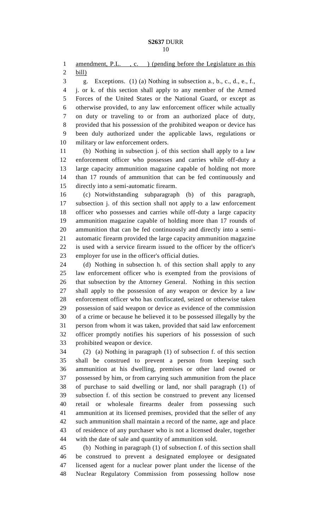1 amendment, P.L., c. (pending before the Legislature as this bill)

 g. Exceptions. (1) (a) Nothing in subsection a., b., c., d., e., f., j. or k. of this section shall apply to any member of the Armed Forces of the United States or the National Guard, or except as otherwise provided, to any law enforcement officer while actually on duty or traveling to or from an authorized place of duty, provided that his possession of the prohibited weapon or device has been duly authorized under the applicable laws, regulations or military or law enforcement orders.

 (b) Nothing in subsection j. of this section shall apply to a law enforcement officer who possesses and carries while off-duty a large capacity ammunition magazine capable of holding not more than 17 rounds of ammunition that can be fed continuously and directly into a semi-automatic firearm.

 (c) Notwithstanding subparagraph (b) of this paragraph, subsection j. of this section shall not apply to a law enforcement officer who possesses and carries while off-duty a large capacity ammunition magazine capable of holding more than 17 rounds of ammunition that can be fed continuously and directly into a semi- automatic firearm provided the large capacity ammunition magazine is used with a service firearm issued to the officer by the officer's employer for use in the officer's official duties.

 (d) Nothing in subsection h. of this section shall apply to any law enforcement officer who is exempted from the provisions of that subsection by the Attorney General. Nothing in this section shall apply to the possession of any weapon or device by a law enforcement officer who has confiscated, seized or otherwise taken possession of said weapon or device as evidence of the commission of a crime or because he believed it to be possessed illegally by the person from whom it was taken, provided that said law enforcement officer promptly notifies his superiors of his possession of such prohibited weapon or device.

 (2) (a) Nothing in paragraph (1) of subsection f. of this section shall be construed to prevent a person from keeping such ammunition at his dwelling, premises or other land owned or possessed by him, or from carrying such ammunition from the place of purchase to said dwelling or land, nor shall paragraph (1) of subsection f. of this section be construed to prevent any licensed retail or wholesale firearms dealer from possessing such ammunition at its licensed premises, provided that the seller of any such ammunition shall maintain a record of the name, age and place of residence of any purchaser who is not a licensed dealer, together with the date of sale and quantity of ammunition sold.

 (b) Nothing in paragraph (1) of subsection f. of this section shall be construed to prevent a designated employee or designated licensed agent for a nuclear power plant under the license of the Nuclear Regulatory Commission from possessing hollow nose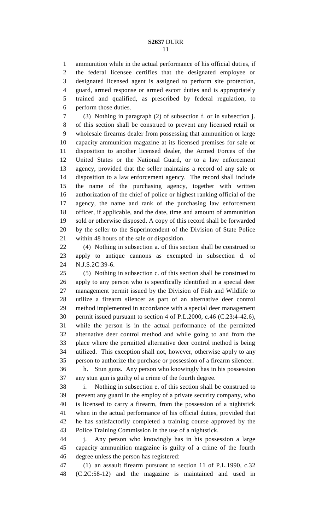ammunition while in the actual performance of his official duties, if the federal licensee certifies that the designated employee or designated licensed agent is assigned to perform site protection, guard, armed response or armed escort duties and is appropriately trained and qualified, as prescribed by federal regulation, to perform those duties.

 (3) Nothing in paragraph (2) of subsection f. or in subsection j. of this section shall be construed to prevent any licensed retail or wholesale firearms dealer from possessing that ammunition or large capacity ammunition magazine at its licensed premises for sale or disposition to another licensed dealer, the Armed Forces of the United States or the National Guard, or to a law enforcement agency, provided that the seller maintains a record of any sale or disposition to a law enforcement agency. The record shall include the name of the purchasing agency, together with written authorization of the chief of police or highest ranking official of the agency, the name and rank of the purchasing law enforcement officer, if applicable, and the date, time and amount of ammunition sold or otherwise disposed. A copy of this record shall be forwarded by the seller to the Superintendent of the Division of State Police within 48 hours of the sale or disposition.

 (4) Nothing in subsection a. of this section shall be construed to apply to antique cannons as exempted in subsection d. of N.J.S.2C:39-6.

 (5) Nothing in subsection c. of this section shall be construed to apply to any person who is specifically identified in a special deer management permit issued by the Division of Fish and Wildlife to utilize a firearm silencer as part of an alternative deer control method implemented in accordance with a special deer management permit issued pursuant to section 4 of P.L.2000, c.46 (C.23:4-42.6), while the person is in the actual performance of the permitted alternative deer control method and while going to and from the place where the permitted alternative deer control method is being utilized. This exception shall not, however, otherwise apply to any person to authorize the purchase or possession of a firearm silencer.

 h. Stun guns. Any person who knowingly has in his possession any stun gun is guilty of a crime of the fourth degree.

 i. Nothing in subsection e. of this section shall be construed to prevent any guard in the employ of a private security company, who is licensed to carry a firearm, from the possession of a nightstick when in the actual performance of his official duties, provided that he has satisfactorily completed a training course approved by the Police Training Commission in the use of a nightstick.

 j. Any person who knowingly has in his possession a large capacity ammunition magazine is guilty of a crime of the fourth degree unless the person has registered:

 (1) an assault firearm pursuant to section 11 of P.L.1990, c.32 (C.2C:58-12) and the magazine is maintained and used in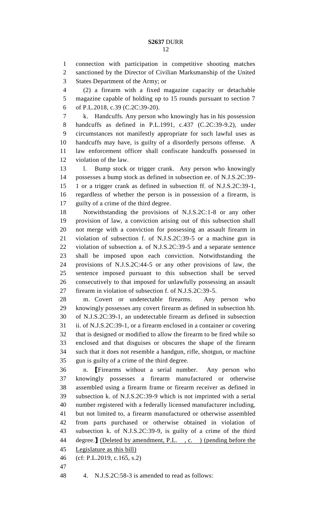connection with participation in competitive shooting matches sanctioned by the Director of Civilian Marksmanship of the United

States Department of the Army; or

 (2) a firearm with a fixed magazine capacity or detachable magazine capable of holding up to 15 rounds pursuant to section 7 of P.L.2018, c.39 (C.2C:39-20).

 k. Handcuffs. Any person who knowingly has in his possession handcuffs as defined in P.L.1991, c.437 (C.2C:39-9.2), under circumstances not manifestly appropriate for such lawful uses as handcuffs may have, is guilty of a disorderly persons offense. A law enforcement officer shall confiscate handcuffs possessed in violation of the law.

13 l. Bump stock or trigger crank. Any person who knowingly possesses a bump stock as defined in subsection ee. of N.J.S.2C:39- 1 or a trigger crank as defined in subsection ff. of N.J.S.2C:39-1, regardless of whether the person is in possession of a firearm, is guilty of a crime of the third degree.

 Notwithstanding the provisions of N.J.S.2C:1-8 or any other provision of law, a conviction arising out of this subsection shall not merge with a conviction for possessing an assault firearm in violation of subsection f. of N.J.S.2C:39-5 or a machine gun in violation of subsection a. of N.J.S.2C:39-5 and a separate sentence shall be imposed upon each conviction. Notwithstanding the provisions of N.J.S.2C:44-5 or any other provisions of law, the sentence imposed pursuant to this subsection shall be served consecutively to that imposed for unlawfully possessing an assault firearm in violation of subsection f. of N.J.S.2C:39-5.

 m. Covert or undetectable firearms. Any person who knowingly possesses any covert firearm as defined in subsection hh. of N.J.S.2C:39-1, an undetectable firearm as defined in subsection ii. of N.J.S.2C:39-1, or a firearm enclosed in a container or covering that is designed or modified to allow the firearm to be fired while so enclosed and that disguises or obscures the shape of the firearm such that it does not resemble a handgun, rifle, shotgun, or machine gun is guilty of a crime of the third degree.

 n. **[**Firearms without a serial number. Any person who knowingly possesses a firearm manufactured or otherwise assembled using a firearm frame or firearm receiver as defined in subsection k. of N.J.S.2C:39-9 which is not imprinted with a serial number registered with a federally licensed manufacturer including, but not limited to, a firearm manufactured or otherwise assembled from parts purchased or otherwise obtained in violation of subsection k. of N.J.S.2C:39-9, is guilty of a crime of the third degree.**]** (Deleted by amendment, P.L. , c. ) (pending before the

Legislature as this bill)

(cf: P.L.2019, c.165, s.2)

4. N.J.S.2C:58-3 is amended to read as follows: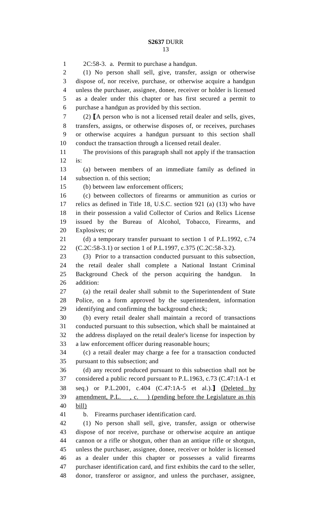2C:58-3. a. Permit to purchase a handgun. (1) No person shall sell, give, transfer, assign or otherwise dispose of, nor receive, purchase, or otherwise acquire a handgun unless the purchaser, assignee, donee, receiver or holder is licensed as a dealer under this chapter or has first secured a permit to purchase a handgun as provided by this section. (2) **[**A person who is not a licensed retail dealer and sells, gives, transfers, assigns, or otherwise disposes of, or receives, purchases or otherwise acquires a handgun pursuant to this section shall conduct the transaction through a licensed retail dealer. The provisions of this paragraph shall not apply if the transaction is: (a) between members of an immediate family as defined in subsection n. of this section; (b) between law enforcement officers; (c) between collectors of firearms or ammunition as curios or relics as defined in Title 18, U.S.C. section 921 (a) (13) who have in their possession a valid Collector of Curios and Relics License issued by the Bureau of Alcohol, Tobacco, Firearms, and Explosives; or (d) a temporary transfer pursuant to section 1 of P.L.1992, c.74 (C.2C:58-3.1) or section 1 of P.L.1997, c.375 (C.2C:58-3.2). (3) Prior to a transaction conducted pursuant to this subsection, the retail dealer shall complete a National Instant Criminal 25 Background Check of the person acquiring the handgun. addition: (a) the retail dealer shall submit to the Superintendent of State Police, on a form approved by the superintendent, information identifying and confirming the background check; (b) every retail dealer shall maintain a record of transactions conducted pursuant to this subsection, which shall be maintained at the address displayed on the retail dealer's license for inspection by a law enforcement officer during reasonable hours; (c) a retail dealer may charge a fee for a transaction conducted pursuant to this subsection; and (d) any record produced pursuant to this subsection shall not be considered a public record pursuant to P.L.1963, c.73 (C.47:1A-1 et seq.) or P.L.2001, c.404 (C.47:1A-5 et al.).**]** (Deleted by amendment, P.L. , c. ) (pending before the Legislature as this bill) b. Firearms purchaser identification card. (1) No person shall sell, give, transfer, assign or otherwise dispose of nor receive, purchase or otherwise acquire an antique cannon or a rifle or shotgun, other than an antique rifle or shotgun, unless the purchaser, assignee, donee, receiver or holder is licensed as a dealer under this chapter or possesses a valid firearms purchaser identification card, and first exhibits the card to the seller, donor, transferor or assignor, and unless the purchaser, assignee,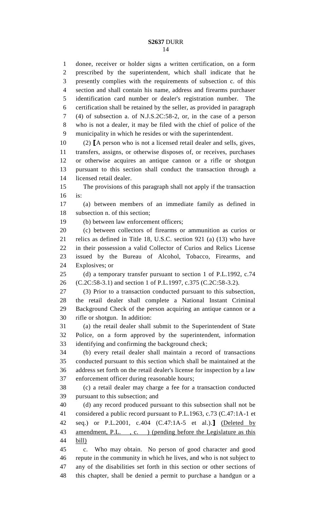donee, receiver or holder signs a written certification, on a form prescribed by the superintendent, which shall indicate that he presently complies with the requirements of subsection c. of this section and shall contain his name, address and firearms purchaser identification card number or dealer's registration number. The certification shall be retained by the seller, as provided in paragraph (4) of subsection a. of N.J.S.2C:58-2, or, in the case of a person who is not a dealer, it may be filed with the chief of police of the municipality in which he resides or with the superintendent.

 (2) **[**A person who is not a licensed retail dealer and sells, gives, transfers, assigns, or otherwise disposes of, or receives, purchases or otherwise acquires an antique cannon or a rifle or shotgun pursuant to this section shall conduct the transaction through a licensed retail dealer.

 The provisions of this paragraph shall not apply if the transaction is:

 (a) between members of an immediate family as defined in subsection n. of this section;

(b) between law enforcement officers;

 (c) between collectors of firearms or ammunition as curios or relics as defined in Title 18, U.S.C. section 921 (a) (13) who have in their possession a valid Collector of Curios and Relics License issued by the Bureau of Alcohol, Tobacco, Firearms, and Explosives; or

 (d) a temporary transfer pursuant to section 1 of P.L.1992, c.74 (C.2C:58-3.1) and section 1 of P.L.1997, c.375 (C.2C:58-3.2).

 (3) Prior to a transaction conducted pursuant to this subsection, the retail dealer shall complete a National Instant Criminal Background Check of the person acquiring an antique cannon or a rifle or shotgun. In addition:

 (a) the retail dealer shall submit to the Superintendent of State Police, on a form approved by the superintendent, information identifying and confirming the background check;

 (b) every retail dealer shall maintain a record of transactions conducted pursuant to this section which shall be maintained at the address set forth on the retail dealer's license for inspection by a law enforcement officer during reasonable hours;

 (c) a retail dealer may charge a fee for a transaction conducted pursuant to this subsection; and

 (d) any record produced pursuant to this subsection shall not be considered a public record pursuant to P.L.1963, c.73 (C.47:1A-1 et seq.) or P.L.2001, c.404 (C.47:1A-5 et al.).**]** (Deleted by 43 amendment, P.L., c. (pending before the Legislature as this bill)

 c. Who may obtain. No person of good character and good repute in the community in which he lives, and who is not subject to any of the disabilities set forth in this section or other sections of this chapter, shall be denied a permit to purchase a handgun or a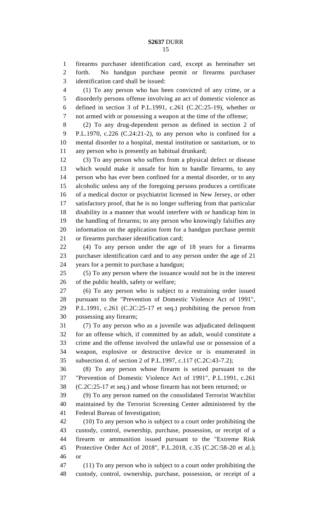firearms purchaser identification card, except as hereinafter set forth. No handgun purchase permit or firearms purchaser identification card shall be issued:

 (1) To any person who has been convicted of any crime, or a disorderly persons offense involving an act of domestic violence as defined in section 3 of P.L.1991, c.261 (C.2C:25-19), whether or not armed with or possessing a weapon at the time of the offense;

 (2) To any drug-dependent person as defined in section 2 of P.L.1970, c.226 (C.24:21-2), to any person who is confined for a mental disorder to a hospital, mental institution or sanitarium, or to any person who is presently an habitual drunkard;

 (3) To any person who suffers from a physical defect or disease which would make it unsafe for him to handle firearms, to any person who has ever been confined for a mental disorder, or to any alcoholic unless any of the foregoing persons produces a certificate of a medical doctor or psychiatrist licensed in New Jersey, or other satisfactory proof, that he is no longer suffering from that particular disability in a manner that would interfere with or handicap him in the handling of firearms; to any person who knowingly falsifies any information on the application form for a handgun purchase permit or firearms purchaser identification card;

 (4) To any person under the age of 18 years for a firearms purchaser identification card and to any person under the age of 21 years for a permit to purchase a handgun;

 (5) To any person where the issuance would not be in the interest of the public health, safety or welfare;

 (6) To any person who is subject to a restraining order issued pursuant to the "Prevention of Domestic Violence Act of 1991", P.L.1991, c.261 (C.2C:25-17 et seq.) prohibiting the person from possessing any firearm;

 (7) To any person who as a juvenile was adjudicated delinquent for an offense which, if committed by an adult, would constitute a crime and the offense involved the unlawful use or possession of a weapon, explosive or destructive device or is enumerated in subsection d. of section 2 of P.L.1997, c.117 (C.2C:43-7.2);

 (8) To any person whose firearm is seized pursuant to the "Prevention of Domestic Violence Act of 1991", P.L.1991, c.261 (C.2C:25-17 et seq.) and whose firearm has not been returned; or

 (9) To any person named on the consolidated Terrorist Watchlist maintained by the Terrorist Screening Center administered by the Federal Bureau of Investigation;

 (10) To any person who is subject to a court order prohibiting the custody, control, ownership, purchase, possession, or receipt of a firearm or ammunition issued pursuant to the "Extreme Risk Protective Order Act of 2018", P.L.2018, c.35 (C.2C:58-20 et al.); or

 (11) To any person who is subject to a court order prohibiting the custody, control, ownership, purchase, possession, or receipt of a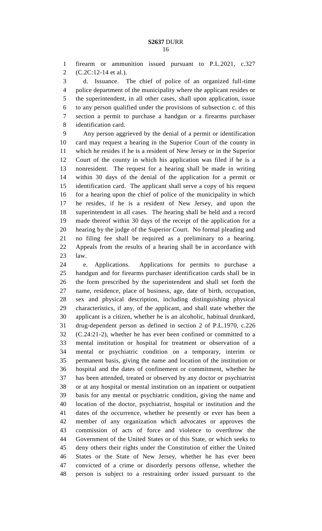firearm or ammunition issued pursuant to P.L.2021, c.327 (C.2C:12-14 et al.).

 d. Issuance. The chief of police of an organized full-time police department of the municipality where the applicant resides or the superintendent, in all other cases, shall upon application, issue to any person qualified under the provisions of subsection c. of this section a permit to purchase a handgun or a firearms purchaser identification card.

 Any person aggrieved by the denial of a permit or identification card may request a hearing in the Superior Court of the county in which he resides if he is a resident of New Jersey or in the Superior Court of the county in which his application was filed if he is a nonresident. The request for a hearing shall be made in writing within 30 days of the denial of the application for a permit or identification card. The applicant shall serve a copy of his request for a hearing upon the chief of police of the municipality in which he resides, if he is a resident of New Jersey, and upon the superintendent in all cases. The hearing shall be held and a record made thereof within 30 days of the receipt of the application for a hearing by the judge of the Superior Court. No formal pleading and no filing fee shall be required as a preliminary to a hearing. Appeals from the results of a hearing shall be in accordance with law.

 e. Applications. Applications for permits to purchase a handgun and for firearms purchaser identification cards shall be in the form prescribed by the superintendent and shall set forth the name, residence, place of business, age, date of birth, occupation, sex and physical description, including distinguishing physical characteristics, if any, of the applicant, and shall state whether the applicant is a citizen, whether he is an alcoholic, habitual drunkard, drug-dependent person as defined in section 2 of P.L.1970, c.226 (C.24:21-2), whether he has ever been confined or committed to a mental institution or hospital for treatment or observation of a mental or psychiatric condition on a temporary, interim or permanent basis, giving the name and location of the institution or hospital and the dates of confinement or commitment, whether he has been attended, treated or observed by any doctor or psychiatrist or at any hospital or mental institution on an inpatient or outpatient basis for any mental or psychiatric condition, giving the name and location of the doctor, psychiatrist, hospital or institution and the dates of the occurrence, whether he presently or ever has been a member of any organization which advocates or approves the commission of acts of force and violence to overthrow the Government of the United States or of this State, or which seeks to deny others their rights under the Constitution of either the United States or the State of New Jersey, whether he has ever been convicted of a crime or disorderly persons offense, whether the person is subject to a restraining order issued pursuant to the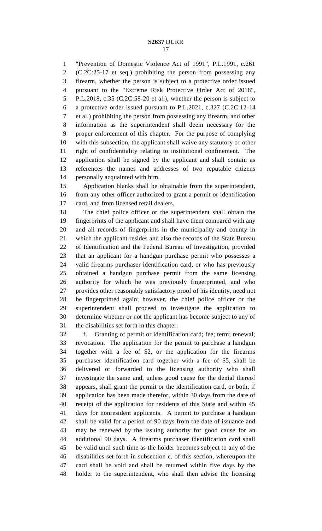"Prevention of Domestic Violence Act of 1991", P.L.1991, c.261 (C.2C:25-17 et seq.) prohibiting the person from possessing any firearm, whether the person is subject to a protective order issued pursuant to the "Extreme Risk Protective Order Act of 2018", P.L.2018, c.35 (C.2C:58-20 et al.), whether the person is subject to a protective order issued pursuant to P.L.2021, c.327 (C.2C:12-14 et al.) prohibiting the person from possessing any firearm, and other information as the superintendent shall deem necessary for the proper enforcement of this chapter. For the purpose of complying with this subsection, the applicant shall waive any statutory or other right of confidentiality relating to institutional confinement. The application shall be signed by the applicant and shall contain as references the names and addresses of two reputable citizens personally acquainted with him.

 Application blanks shall be obtainable from the superintendent, from any other officer authorized to grant a permit or identification card, and from licensed retail dealers.

 The chief police officer or the superintendent shall obtain the fingerprints of the applicant and shall have them compared with any and all records of fingerprints in the municipality and county in which the applicant resides and also the records of the State Bureau of Identification and the Federal Bureau of Investigation, provided that an applicant for a handgun purchase permit who possesses a valid firearms purchaser identification card, or who has previously obtained a handgun purchase permit from the same licensing authority for which he was previously fingerprinted, and who provides other reasonably satisfactory proof of his identity, need not be fingerprinted again; however, the chief police officer or the superintendent shall proceed to investigate the application to determine whether or not the applicant has become subject to any of the disabilities set forth in this chapter.

 f. Granting of permit or identification card; fee; term; renewal; revocation. The application for the permit to purchase a handgun together with a fee of \$2, or the application for the firearms purchaser identification card together with a fee of \$5, shall be delivered or forwarded to the licensing authority who shall investigate the same and, unless good cause for the denial thereof appears, shall grant the permit or the identification card, or both, if application has been made therefor, within 30 days from the date of receipt of the application for residents of this State and within 45 days for nonresident applicants. A permit to purchase a handgun shall be valid for a period of 90 days from the date of issuance and may be renewed by the issuing authority for good cause for an additional 90 days. A firearms purchaser identification card shall be valid until such time as the holder becomes subject to any of the disabilities set forth in subsection c. of this section, whereupon the card shall be void and shall be returned within five days by the holder to the superintendent, who shall then advise the licensing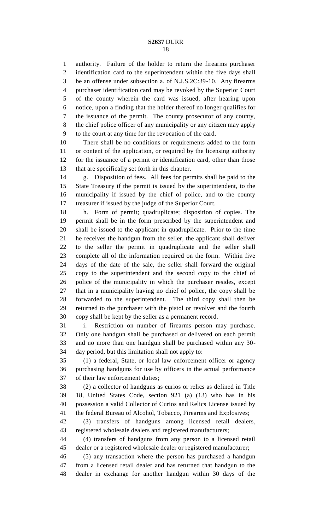authority. Failure of the holder to return the firearms purchaser identification card to the superintendent within the five days shall be an offense under subsection a. of N.J.S.2C:39-10. Any firearms purchaser identification card may be revoked by the Superior Court of the county wherein the card was issued, after hearing upon notice, upon a finding that the holder thereof no longer qualifies for the issuance of the permit. The county prosecutor of any county, the chief police officer of any municipality or any citizen may apply to the court at any time for the revocation of the card.

 There shall be no conditions or requirements added to the form or content of the application, or required by the licensing authority for the issuance of a permit or identification card, other than those that are specifically set forth in this chapter.

 g. Disposition of fees. All fees for permits shall be paid to the State Treasury if the permit is issued by the superintendent, to the municipality if issued by the chief of police, and to the county treasurer if issued by the judge of the Superior Court.

 h. Form of permit; quadruplicate; disposition of copies. The permit shall be in the form prescribed by the superintendent and shall be issued to the applicant in quadruplicate. Prior to the time he receives the handgun from the seller, the applicant shall deliver to the seller the permit in quadruplicate and the seller shall complete all of the information required on the form. Within five days of the date of the sale, the seller shall forward the original copy to the superintendent and the second copy to the chief of police of the municipality in which the purchaser resides, except that in a municipality having no chief of police, the copy shall be forwarded to the superintendent. The third copy shall then be returned to the purchaser with the pistol or revolver and the fourth copy shall be kept by the seller as a permanent record.

 i. Restriction on number of firearms person may purchase. Only one handgun shall be purchased or delivered on each permit and no more than one handgun shall be purchased within any 30- day period, but this limitation shall not apply to:

 (1) a federal, State, or local law enforcement officer or agency purchasing handguns for use by officers in the actual performance of their law enforcement duties;

 (2) a collector of handguns as curios or relics as defined in Title 18, United States Code, section 921 (a) (13) who has in his possession a valid Collector of Curios and Relics License issued by the federal Bureau of Alcohol, Tobacco, Firearms and Explosives;

 (3) transfers of handguns among licensed retail dealers, registered wholesale dealers and registered manufacturers;

 (4) transfers of handguns from any person to a licensed retail dealer or a registered wholesale dealer or registered manufacturer;

 (5) any transaction where the person has purchased a handgun from a licensed retail dealer and has returned that handgun to the dealer in exchange for another handgun within 30 days of the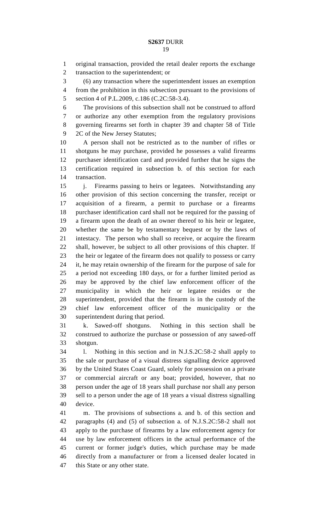original transaction, provided the retail dealer reports the exchange transaction to the superintendent; or

(6) any transaction where the superintendent issues an exemption

from the prohibition in this subsection pursuant to the provisions of

section 4 of P.L.2009, c.186 (C.2C:58-3.4).

 The provisions of this subsection shall not be construed to afford or authorize any other exemption from the regulatory provisions governing firearms set forth in chapter 39 and chapter 58 of Title 2C of the New Jersey Statutes;

 A person shall not be restricted as to the number of rifles or shotguns he may purchase, provided he possesses a valid firearms purchaser identification card and provided further that he signs the certification required in subsection b. of this section for each transaction.

15 i. Firearms passing to heirs or legatees. Notwithstanding any other provision of this section concerning the transfer, receipt or acquisition of a firearm, a permit to purchase or a firearms purchaser identification card shall not be required for the passing of a firearm upon the death of an owner thereof to his heir or legatee, whether the same be by testamentary bequest or by the laws of intestacy. The person who shall so receive, or acquire the firearm shall, however, be subject to all other provisions of this chapter. If the heir or legatee of the firearm does not qualify to possess or carry it, he may retain ownership of the firearm for the purpose of sale for a period not exceeding 180 days, or for a further limited period as may be approved by the chief law enforcement officer of the municipality in which the heir or legatee resides or the superintendent, provided that the firearm is in the custody of the chief law enforcement officer of the municipality or the superintendent during that period.

 k. Sawed-off shotguns. Nothing in this section shall be construed to authorize the purchase or possession of any sawed-off shotgun.

 l. Nothing in this section and in N.J.S.2C:58-2 shall apply to the sale or purchase of a visual distress signalling device approved by the United States Coast Guard, solely for possession on a private or commercial aircraft or any boat; provided, however, that no person under the age of 18 years shall purchase nor shall any person sell to a person under the age of 18 years a visual distress signalling device.

 m. The provisions of subsections a. and b. of this section and paragraphs (4) and (5) of subsection a. of N.J.S.2C:58-2 shall not apply to the purchase of firearms by a law enforcement agency for use by law enforcement officers in the actual performance of the current or former judge's duties, which purchase may be made directly from a manufacturer or from a licensed dealer located in this State or any other state.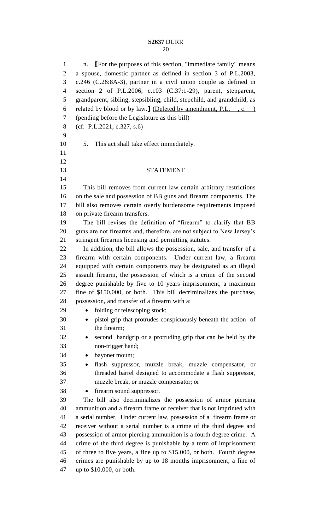n. **[**For the purposes of this section, "immediate family" means a spouse, domestic partner as defined in section 3 of P.L.2003, c.246 (C.26:8A-3), partner in a civil union couple as defined in section 2 of P.L.2006, c.103 (C.37:1-29), parent, stepparent, grandparent, sibling, stepsibling, child, stepchild, and grandchild, as related by blood or by law.**]** (Deleted by amendment, P.L. , c. ) (pending before the Legislature as this bill) (cf: P.L.2021, c.327, s.6) 5. This act shall take effect immediately. STATEMENT This bill removes from current law certain arbitrary restrictions on the sale and possession of BB guns and firearm components. The bill also removes certain overly burdensome requirements imposed on private firearm transfers. The bill revises the definition of "firearm" to clarify that BB guns are not firearms and, therefore, are not subject to New Jersey's stringent firearms licensing and permitting statutes. In addition, the bill allows the possession, sale, and transfer of a firearm with certain components. Under current law, a firearm equipped with certain components may be designated as an illegal assault firearm, the possession of which is a crime of the second degree punishable by five to 10 years imprisonment, a maximum fine of \$150,000, or both. This bill decriminalizes the purchase, possession, and transfer of a firearm with a: 29 • folding or telescoping stock; pistol grip that protrudes conspicuously beneath the action of the firearm; second handgrip or a protruding grip that can be held by the non-trigger hand; bayonet mount; flash suppressor, muzzle break, muzzle compensator, or threaded barrel designed to accommodate a flash suppressor, muzzle break, or muzzle compensator; or firearm sound suppressor. The bill also decriminalizes the possession of armor piercing ammunition and a firearm frame or receiver that is not imprinted with a serial number. Under current law, possession of a firearm frame or receiver without a serial number is a crime of the third degree and possession of armor piercing ammunition is a fourth degree crime. A crime of the third degree is punishable by a term of imprisonment of three to five years, a fine up to \$15,000, or both. Fourth degree crimes are punishable by up to 18 months imprisonment, a fine of up to \$10,000, or both.